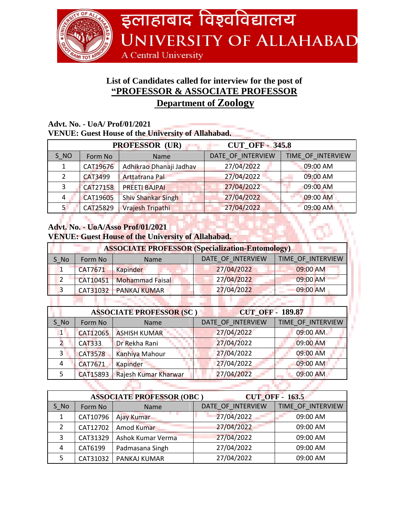

## **List of Candidates called for interview for the post of "PROFESSOR & ASSOCIATE PROFESSOR Department of Zoology**

## **Advt. No. - UoA/ Prof/01/2021 VENUE: Guest House of the University of Allahabad.**

| <b>CUT OFF - 345.8</b><br><b>PROFESSOR (UR)</b> |                 |                           |                   |                   |  |
|-------------------------------------------------|-----------------|---------------------------|-------------------|-------------------|--|
| S NO                                            | Form No         | <b>Name</b>               | DATE OF INTERVIEW | TIME_OF_INTERVIEW |  |
|                                                 | CAT19676        | Adhikrao Dhanaji Jadhav   | 27/04/2022        | 09:00 AM          |  |
|                                                 | CAT3499         | Arttatrana Pal            | 27/04/2022        | 09:00 AM          |  |
|                                                 | CAT27158        | <b>PREETI BAJPAI</b>      | 27/04/2022        | $09:00$ AM        |  |
| 4                                               | <b>CAT19605</b> | <b>Shiv Shankar Singh</b> | 27/04/2022        | 09:00 AM          |  |
| 5.                                              | CAT25829        | Vrajesh Tripathi          | 27/04/2022        | 09:00 AM          |  |

## **Advt. No. - UoA/Asso Prof/01/2021 VENUE: Guest House of the University of Allahabad.**

| <b>ASSOCIATE PROFESSOR (Specialization-Entomology)</b> |         |                            |                   |                   |  |
|--------------------------------------------------------|---------|----------------------------|-------------------|-------------------|--|
| S No                                                   | Form No | <b>Name</b>                | DATE OF INTERVIEW | TIME OF INTERVIEW |  |
|                                                        | CAT7671 | Kapinder                   | 27/04/2022        | 09:00 AM          |  |
|                                                        |         | CAT10451   Mohammad Faisal | 27/04/2022        | 09:00 AM          |  |
|                                                        |         | CAT31032 PANKAJ KUMAR      | 27/04/2022        | 09:00 AM          |  |

| <b>CUT OFF - 189.87</b><br><b>ASSOCIATE PROFESSOR (SC)</b> |                 |                      |                   |                   |
|------------------------------------------------------------|-----------------|----------------------|-------------------|-------------------|
| S No                                                       | Form No         | Name                 | DATE OF INTERVIEW | TIME OF INTERVIEW |
| $\mathbf{1}$                                               | <b>CAT12065</b> | <b>ASHISH KUMAR</b>  | 27/04/2022        | 09:00 AM          |
|                                                            | <b>CAT333</b>   | Dr Rekha Rani        | 27/04/2022        | 09:00 AM          |
| 3                                                          | <b>CAT3578</b>  | Kanhiya Mahour       | 27/04/2022        | 09:00 AM          |
| 4                                                          | CAT7671         | Kapinder             | 27/04/2022        | 09:00 AM          |
|                                                            | CAT15893        | Rajesh Kumar Kharwar | 27/04/2022        | 09:00 AM          |
|                                                            |                 |                      |                   |                   |

|      |          | <b>ASSOCIATE PROFESSOR (OBC)</b> | <b>CUT_OFF - 163.5</b> |                   |
|------|----------|----------------------------------|------------------------|-------------------|
| S No | Form No  | <b>Name</b>                      | DATE OF INTERVIEW      | TIME OF INTERVIEW |
|      | CAT10796 | Ajay Kumar                       | 27/04/2022             | 09:00 AM          |
|      | CAT12702 | Amod Kumar                       | 27/04/2022             | 09:00 AM          |
| 3    | CAT31329 | Ashok Kumar Verma                | 27/04/2022             | 09:00 AM          |
| 4    | CAT6199  | Padmasana Singh                  | 27/04/2022             | 09:00 AM          |
|      | CAT31032 | PANKAJ KUMAR                     | 27/04/2022             | 09:00 AM          |